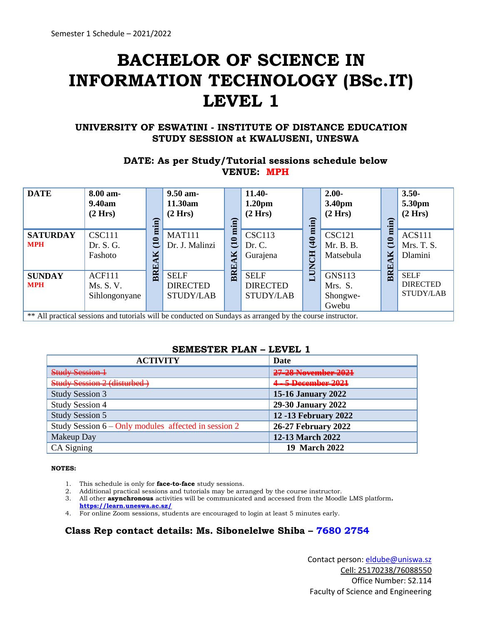# **BACHELOR OF SCIENCE IN INFORMATION TECHNOLOGY (BSc.IT) LEVEL 1**

#### **UNIVERSITY OF ESWATINI - INSTITUTE OF DISTANCE EDUCATION STUDY SESSION at KWALUSENI, UNESWA**

## **DATE: As per Study/Tutorial sessions schedule below VENUE: MPH**

| 9.40am<br>(2 Hrs)                     |                                    | 11.30am<br>(2 Hrs)                                 |   | 1.20 <sub>pm</sub><br>(2 Hrs)                      |                      | 3.40pm<br>(2 Hrs)                             |                                                                                                            | 5.30pm<br>(2 Hrs)                                  |
|---------------------------------------|------------------------------------|----------------------------------------------------|---|----------------------------------------------------|----------------------|-----------------------------------------------|------------------------------------------------------------------------------------------------------------|----------------------------------------------------|
| <b>CSC111</b><br>Dr. S. G.<br>Fashoto | 0<br>$\mathbf{I}$<br>M<br>$\Gamma$ | <b>MAT111</b><br>Dr. J. Malinzi                    | Ŋ | <b>CSC113</b><br>Dr. C.<br>Gurajena                | $\frac{40}{5}$<br>FO | <b>CSC121</b><br>Mr. B. B.<br>Matsebula       | 0<br>$\bar{\texttt{t}}$<br>K                                                                               | <b>ACS111</b><br>Mrs. T. S.<br>Dlamini             |
| ACF111<br>Ms. S. V.<br>Sihlongonyane  |                                    | <b>SELF</b><br><b>DIRECTED</b><br><b>STUDY/LAB</b> |   | <b>SELF</b><br><b>DIRECTED</b><br><b>STUDY/LAB</b> |                      | <b>GNS113</b><br>Mrs. S.<br>Shongwe-<br>Gwebu |                                                                                                            | <b>SELF</b><br><b>DIRECTED</b><br><b>STUDY/LAB</b> |
|                                       |                                    | min<br>BRI                                         |   | $(10 \min)$<br><b>BRE</b>                          |                      | min)<br>Ĕ                                     | ** All practical sessions and tutorials will be conducted on Sundays as arranged by the course instructor. | min<br>BRE                                         |

#### **SEMESTER PLAN – LEVEL 1**

| <b>ACTIVITY</b>                                        | Date                           |
|--------------------------------------------------------|--------------------------------|
| $Chudu Caation 1$<br><del>away acssicii i</del>        | 27-28 November 2021            |
| Study Session 2 (disturbed)                            | <del>4 - 5 December 2021</del> |
| <b>Study Session 3</b>                                 | <b>15-16 January 2022</b>      |
| <b>Study Session 4</b>                                 | 29-30 January 2022             |
| <b>Study Session 5</b>                                 | <b>12 -13 February 2022</b>    |
| Study Session $6 - Only$ modules affected in session 2 | <b>26-27 February 2022</b>     |
| Makeup Day                                             | 12-13 March 2022               |
| CA Signing                                             | 19 March 2022                  |

#### **NOTES:**

- 1. This schedule is only for **face-to-face** study sessions.
- 2. Additional practical sessions and tutorials may be arranged by the course instructor.
- 3. All other **asynchronous** activities will be communicated and accessed from the Moodle LMS platform**. <https://learn.uneswa.ac.sz/>**
- 4. For online Zoom sessions, students are encouraged to login at least 5 minutes early.

## **Class Rep contact details: Ms. Sibonelelwe Shiba – 7680 2754**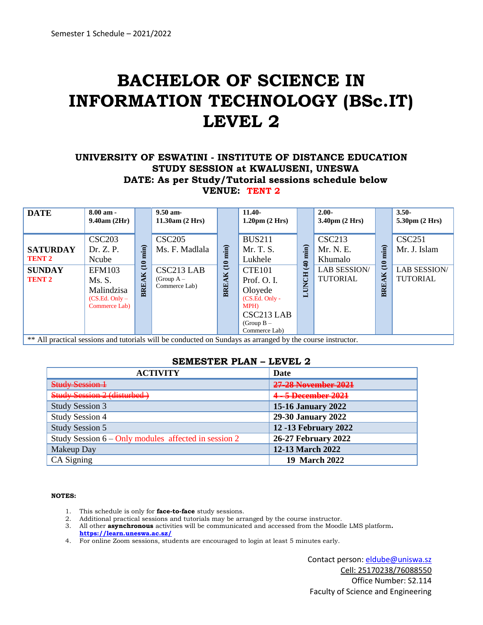# **BACHELOR OF SCIENCE IN INFORMATION TECHNOLOGY (BSc.IT) LEVEL 2**

### **UNIVERSITY OF ESWATINI - INSTITUTE OF DISTANCE EDUCATION STUDY SESSION at KWALUSENI, UNESWA DATE: As per Study/Tutorial sessions schedule below VENUE: TENT 2**

| <b>DATE</b>                                                                         | $8.00$ am -<br>9.40am(2Hr)                                                                                                 |                                         | $9.50$ am-<br>11.30am (2 Hrs)                                                              |                                  | $11.40-$<br>$1.20 \text{pm}$ $(2 \text{ Hrs})$                                                                                                                     |                               | $2.00 -$<br>$3.40 \text{pm}$ (2 Hrs)                                            |                                      | $3.50 -$<br>$5.30pm$ (2 Hrs)                                            |
|-------------------------------------------------------------------------------------|----------------------------------------------------------------------------------------------------------------------------|-----------------------------------------|--------------------------------------------------------------------------------------------|----------------------------------|--------------------------------------------------------------------------------------------------------------------------------------------------------------------|-------------------------------|---------------------------------------------------------------------------------|--------------------------------------|-------------------------------------------------------------------------|
| <b>SATURDAY</b><br><b>TENT 2</b><br><b>SUNDAY</b><br><b>TENT 2</b><br>$\cdots$<br>. | <b>CSC203</b><br>Dr. Z. P.<br>Ncube<br><b>EFM103</b><br>Ms.S.<br>Malindzisa<br>$(CS.Ed. Only -$<br>Commerce Lab)<br>$\sim$ | min)<br>$\tilde{E}$<br>AK<br><b>BRE</b> | <b>CSC205</b><br>Ms. F. Madlala<br>CSC213 LAB<br>(Group $A -$<br>Commerce Lab)<br>$\cdots$ | min<br>0<br>ਦ<br>AK<br>BRE.<br>. | <b>BUS211</b><br>Mr. T. S.<br>Lukhele<br><b>CTE101</b><br>Prof. O. I.<br>Oloyede<br>$(CS.Ed. Only -$<br><b>MPH)</b><br>CSC213 LAB<br>(Group $B -$<br>Commerce Lab) | min<br>$\frac{1}{4}$<br>LUNCH | <b>CSC213</b><br>Mr. N. E.<br>Khumalo<br><b>LAB SESSION/</b><br><b>TUTORIAL</b> | $min$ )<br>$\tilde{E}$<br>AK<br>BRE. | <b>CSC251</b><br>Mr. J. Islam<br><b>LAB SESSION/</b><br><b>TUTORIAL</b> |

\*\* All practical sessions and tutorials will be conducted on Sundays as arranged by the course instructor.

## **SEMESTER PLAN – LEVEL 2**

| <b>ACTIVITY</b>                                        | Date                        |
|--------------------------------------------------------|-----------------------------|
| Study Sossion 1<br>DUREY DOOROH 1                      | 27-28 November 2021         |
| Study Session 2 (disturbed-                            | 4-5 December 2021           |
| <b>Study Session 3</b>                                 | <b>15-16 January 2022</b>   |
| <b>Study Session 4</b>                                 | 29-30 January 2022          |
| <b>Study Session 5</b>                                 | <b>12 -13 February 2022</b> |
| Study Session $6 - Only$ modules affected in session 2 | <b>26-27 February 2022</b>  |
| Makeup Day                                             | 12-13 March 2022            |
| CA Signing                                             | 19 March 2022               |

#### **NOTES:**

- 1. This schedule is only for **face-to-face** study sessions.
- 2. Additional practical sessions and tutorials may be arranged by the course instructor.
- 3. All other **asynchronous** activities will be communicated and accessed from the Moodle LMS platform**.**
- **<https://learn.uneswa.ac.sz/>**
- 4. For online Zoom sessions, students are encouraged to login at least 5 minutes early.

Contact person: eldube@uniswa.sz Cell: 25170238/76088550 Office Number: S2.114 Faculty of Science and Engineering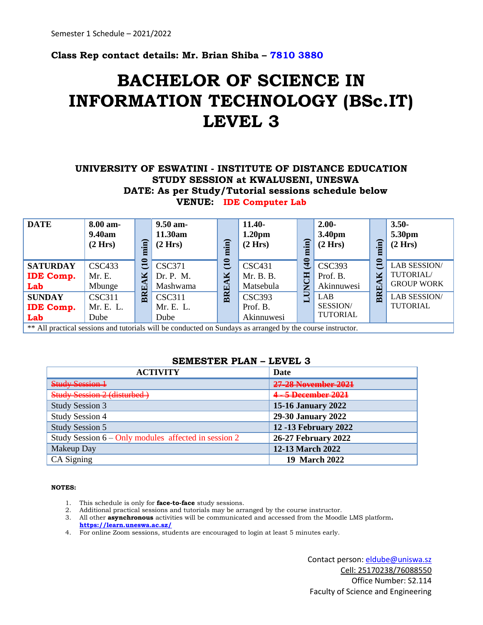**Class Rep contact details: Mr. Brian Shiba – 7810 3880**

## **BACHELOR OF SCIENCE IN INFORMATION TECHNOLOGY (BSc.IT) LEVEL 3**

## **UNIVERSITY OF ESWATINI - INSTITUTE OF DISTANCE EDUCATION STUDY SESSION at KWALUSENI, UNESWA DATE: As per Study/Tutorial sessions schedule below VENUE: IDE Computer Lab**

| <b>DATE</b>                                | 8.00 am-<br>9.40am<br>(2 Hrs)      | min)                         | $9.50$ am-<br>11.30am<br>(2 Hrs)       | min)                       | $11.40-$<br>1.20 <sub>pm</sub><br>(2 Hrs) | $\mathbf{H}$          | $2.00 -$<br>3.40pm<br>(2 Hrs)           | min)                          | $3.50 -$<br>5.30pm<br>(2 Hrs)                         |
|--------------------------------------------|------------------------------------|------------------------------|----------------------------------------|----------------------------|-------------------------------------------|-----------------------|-----------------------------------------|-------------------------------|-------------------------------------------------------|
| <b>SATURDAY</b><br><b>IDE Comp.</b><br>Lab | <b>CSC433</b><br>Mr. E.<br>Mbunge  | 0<br>$\bar{\mathbf{u}}$<br>M | <b>CSC371</b><br>Dr. P. M.<br>Mashwama | 0<br>$\bar{\Xi}$<br>⊠<br>囯 | <b>CSC431</b><br>Mr. B. B.<br>Matsebula   | $\tilde{4}$<br>프<br>Ž | <b>CSC393</b><br>Prof. B.<br>Akinnuwesi | $\bar{\mathbf{u}}$<br>⊠<br>ŒÌ | <b>LAB SESSION/</b><br>TUTORIAL/<br><b>GROUP WORK</b> |
| <b>SUNDAY</b><br><b>IDE Comp.</b><br>Lab   | <b>CSC311</b><br>Mr. E. L.<br>Dube | BRE.                         | <b>CSC311</b><br>Mr. E. L.<br>Dube     | BR                         | <b>CSC393</b><br>Prof. B.<br>Akinnuwesi   |                       | LAB<br>SESSION/<br>TUTORIAL             | $_{\rm BR}$                   | <b>LAB SESSION/</b><br><b>TUTORIAL</b>                |

\*\* All practical sessions and tutorials will be conducted on Sundays as arranged by the course instructor.

#### **SEMESTER PLAN – LEVEL 3**

| <b>ACTIVITY</b>                                                                                            | <b>Date</b>                 |
|------------------------------------------------------------------------------------------------------------|-----------------------------|
| Study Session 1                                                                                            | 27.28 November 2021         |
| Chidy Cossion 7 (disturbed<br>$\overline{U}$ it is a property of $\overline{U}$ , the initial contribution | 4-5 December 2021           |
| <b>Study Session 3</b>                                                                                     | <b>15-16 January 2022</b>   |
| <b>Study Session 4</b>                                                                                     | 29-30 January 2022          |
| <b>Study Session 5</b>                                                                                     | <b>12 -13 February 2022</b> |
| Study Session $6 - Only$ modules affected in session 2                                                     | <b>26-27 February 2022</b>  |
| <b>Makeup Day</b>                                                                                          | 12-13 March 2022            |
| CA Signing                                                                                                 | 19 March 2022               |

#### **NOTES:**

- 1. This schedule is only for **face-to-face** study sessions.
- 2. Additional practical sessions and tutorials may be arranged by the course instructor.
- 3. All other **asynchronous** activities will be communicated and accessed from the Moodle LMS platform**. <https://learn.uneswa.ac.sz/>**
- 4. For online Zoom sessions, students are encouraged to login at least 5 minutes early.

Contact person: eldube@uniswa.sz Cell: 25170238/76088550 Office Number: S2.114 Faculty of Science and Engineering